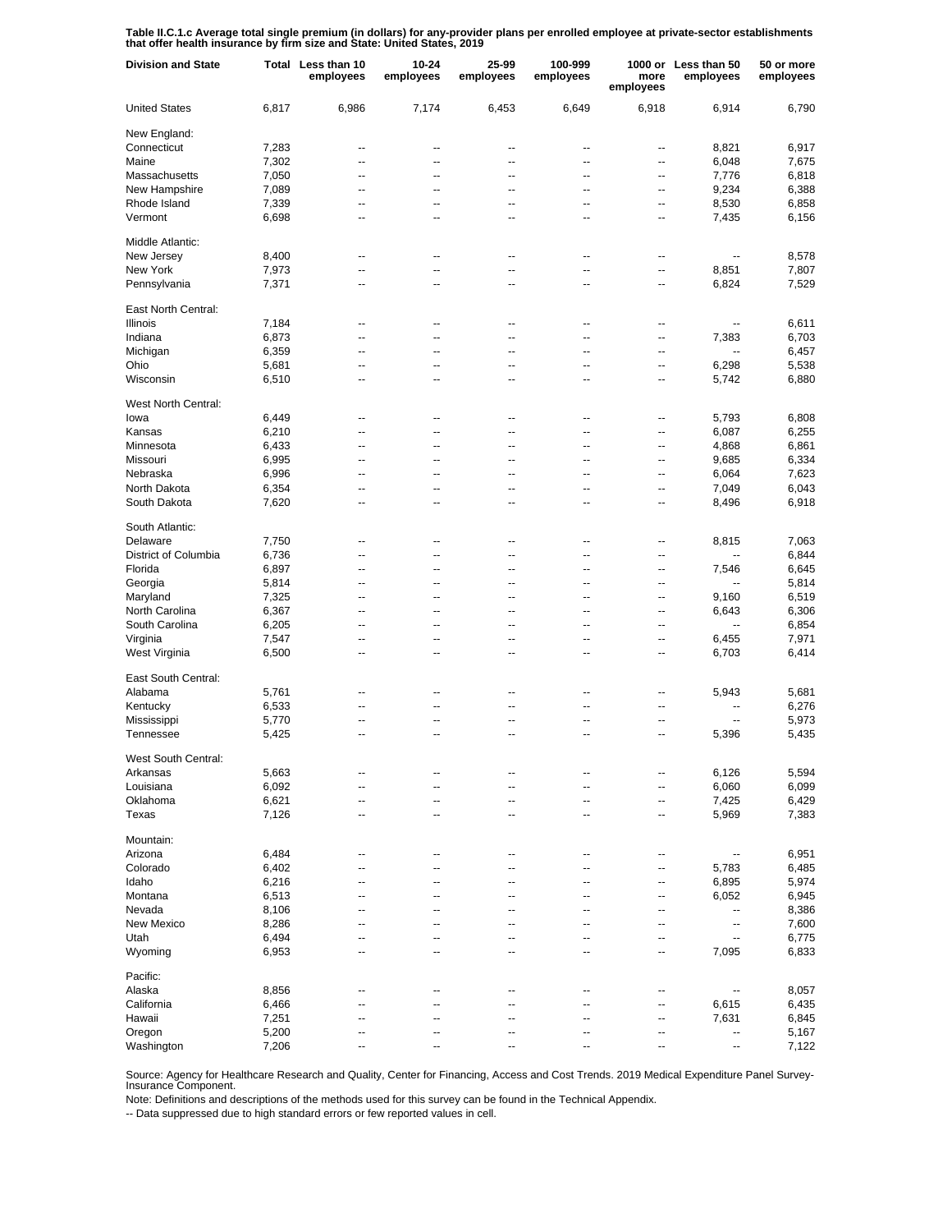**Table II.C.1.c Average total single premium (in dollars) for any-provider plans per enrolled employee at private-sector establishments that offer health insurance by firm size and State: United States, 2019**

| <b>Division and State</b> |       | Total Less than 10<br>employees | 10-24<br>employees       | 25-99<br>employees       | 100-999<br>employees | more<br>employees | 1000 or Less than 50<br>employees | 50 or more<br>employees |
|---------------------------|-------|---------------------------------|--------------------------|--------------------------|----------------------|-------------------|-----------------------------------|-------------------------|
| <b>United States</b>      | 6,817 | 6,986                           | 7,174                    | 6,453                    | 6,649                | 6,918             | 6,914                             | 6,790                   |
| New England:              |       |                                 |                          |                          |                      |                   |                                   |                         |
| Connecticut               | 7,283 | --                              | --                       | --                       | --                   | --                | 8,821                             | 6,917                   |
| Maine                     | 7,302 | --                              | ٠.                       | --                       | --                   | --                | 6,048                             | 7,675                   |
| Massachusetts             | 7,050 | --                              | --                       | --                       | --                   | --                | 7,776                             | 6,818                   |
| New Hampshire             | 7,089 | --                              | --                       | --                       | --                   | --                | 9,234                             | 6,388                   |
| Rhode Island              | 7,339 | --                              | --                       | --                       | --                   | --                | 8,530                             | 6,858                   |
| Vermont                   | 6,698 | --                              | --                       | --                       | --                   | --                | 7,435                             | 6,156                   |
| Middle Atlantic:          |       |                                 |                          |                          |                      |                   |                                   |                         |
| New Jersey                | 8,400 | --                              | --                       | --                       | --                   | --                | ۰.                                | 8,578                   |
| New York                  | 7,973 | --                              | --                       | --                       | --                   | --                | 8,851                             | 7,807                   |
| Pennsylvania              | 7,371 | ۵.                              | -−                       | -−                       | --                   | --                | 6,824                             | 7,529                   |
| East North Central:       |       |                                 |                          |                          |                      |                   |                                   |                         |
| Illinois                  | 7,184 | --                              | --                       | --                       | --                   | --                | --                                | 6,611                   |
| Indiana                   | 6,873 | --                              | --                       | --                       | --                   | --                | 7,383                             | 6,703                   |
| Michigan                  | 6,359 | --                              | --                       | --                       | --                   | --                | $\overline{a}$                    | 6,457                   |
| Ohio                      | 5,681 | $\overline{\phantom{a}}$        | --                       | --                       | $-$                  | --                | 6,298                             | 5,538                   |
| Wisconsin                 | 6,510 | --                              | --                       | --                       | --                   | --                | 5,742                             | 6,880                   |
|                           |       |                                 |                          |                          |                      |                   |                                   |                         |
| West North Central:       |       |                                 |                          |                          |                      |                   |                                   |                         |
| lowa                      | 6,449 | --                              | --                       | --                       | --                   | --                | 5,793                             | 6,808                   |
| Kansas                    | 6,210 | --                              | ٠.                       | --                       | --                   | --                | 6,087                             | 6,255                   |
| Minnesota                 | 6,433 | --                              | --                       | --                       | --                   | --                | 4,868                             | 6,861                   |
| Missouri                  | 6,995 | --                              | --                       | --                       | --                   | --                | 9,685                             | 6,334                   |
| Nebraska                  | 6,996 | --                              | --                       | --                       | --                   | --                | 6,064                             | 7,623                   |
| North Dakota              | 6,354 | --                              | --                       | --                       | --                   | --                | 7,049                             | 6,043                   |
| South Dakota              | 7,620 | --                              | --                       | --                       | --                   | --                | 8,496                             | 6,918                   |
| South Atlantic:           |       |                                 |                          |                          |                      |                   |                                   |                         |
|                           |       |                                 |                          |                          |                      |                   |                                   |                         |
| Delaware                  | 7,750 | --                              | --                       | --                       | --                   | --                | 8,815                             | 7,063                   |
| District of Columbia      | 6,736 | ۵.                              | -−                       | -−                       | $\overline{a}$       | --                |                                   | 6,844                   |
| Florida                   | 6,897 | --                              | --                       | --                       | --                   | --                | 7,546                             | 6,645                   |
| Georgia                   | 5,814 | ۵.                              | -−                       | -−                       | --                   | --                |                                   | 5,814                   |
| Maryland                  | 7,325 | --                              | --                       | --                       | --                   | --                | 9,160                             | 6,519                   |
| North Carolina            | 6,367 | ۵.                              | -−                       | -−                       | --                   | --                | 6,643                             | 6,306                   |
| South Carolina            | 6,205 | --                              | --                       | --                       | --                   | --                | --                                | 6,854                   |
| Virginia                  | 7,547 | --                              | --                       | -−                       | --                   | --                | 6,455                             | 7,971                   |
| West Virginia             | 6,500 | --                              | --                       | --                       | --                   | --                | 6,703                             | 6,414                   |
| East South Central:       |       |                                 |                          |                          |                      |                   |                                   |                         |
| Alabama                   | 5,761 | $\overline{\phantom{a}}$        | --                       | --                       | --                   | --                | 5,943                             | 5,681                   |
| Kentucky                  | 6,533 | --                              | --                       | --                       | --                   | --                | --                                | 6,276                   |
| Mississippi               | 5,770 | $\overline{\phantom{a}}$        | $\overline{\phantom{a}}$ | $\overline{\phantom{a}}$ | --                   | --                | --                                | 5,973                   |
| Tennessee                 | 5,425 | $\overline{\phantom{a}}$        | $\overline{\phantom{a}}$ | --                       | --                   | --                | 5,396                             | 5,435                   |
| West South Central:       |       |                                 |                          |                          |                      |                   |                                   |                         |
| Arkansas                  | 5,663 | --                              |                          |                          |                      |                   | 6,126                             | 5,594                   |
| Louisiana                 | 6,092 | --                              | --                       | --                       | --                   | --                | 6,060                             | 6,099                   |
| Oklahoma                  | 6,621 | --                              | --                       | --                       | --                   | --                | 7,425                             | 6,429                   |
| Texas                     | 7,126 | --                              | --                       | --                       | --                   | --                | 5,969                             | 7,383                   |
| Mountain:                 |       |                                 |                          |                          |                      |                   |                                   |                         |
| Arizona                   | 6,484 | --                              | --                       | --                       | --                   | --                | ۰.                                | 6,951                   |
| Colorado                  |       | --                              | -−                       | -−                       | --                   | --                |                                   |                         |
| Idaho                     | 6,402 | --                              | ٠.                       | --                       | --                   | --                | 5,783                             | 6,485                   |
|                           | 6,216 |                                 |                          |                          |                      |                   | 6,895                             | 5,974                   |
| Montana                   | 6,513 | --                              | --                       | --                       | --                   | --                | 6,052                             | 6,945                   |
| Nevada                    | 8,106 | -−                              | -−                       | -−                       | --                   | --                | ۰.                                | 8,386                   |
| New Mexico                | 8,286 | ۵.                              | -−                       | -−                       | --                   | --                | --                                | 7,600                   |
| Utah                      | 6,494 | -−                              | -−                       | -−                       | $\overline{a}$       | --                | ۰.                                | 6,775                   |
| Wyoming                   | 6,953 | --                              | --                       | --                       | --                   | --                | 7,095                             | 6,833                   |
| Pacific:                  |       |                                 |                          |                          |                      |                   |                                   |                         |
| Alaska                    | 8,856 | $\overline{\phantom{a}}$        | --                       | --                       | --                   | --                | --                                | 8,057                   |
| California                | 6,466 | --                              | --                       | --                       | --                   | --                | 6,615                             | 6,435                   |
| Hawaii                    | 7,251 | $\overline{\phantom{a}}$        | --                       | --                       | --                   | --                | 7,631                             | 6,845                   |
| Oregon                    | 5,200 | --                              | --                       | --                       | --                   | --                | --                                | 5,167                   |
| Washington                | 7,206 | --                              | --                       | ۰.                       | ۰.                   | ۰.                | ۰.                                | 7,122                   |
|                           |       |                                 |                          |                          |                      |                   |                                   |                         |

Source: Agency for Healthcare Research and Quality, Center for Financing, Access and Cost Trends. 2019 Medical Expenditure Panel Survey-Insurance Component.

Note: Definitions and descriptions of the methods used for this survey can be found in the Technical Appendix.

-- Data suppressed due to high standard errors or few reported values in cell.